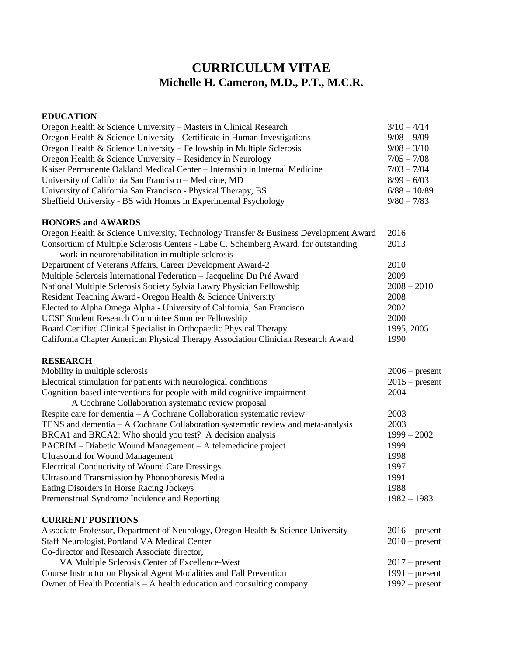# **CURRICULUM VITAE Michelle H. Cameron, M.D., P.T., M.C.R.**

#### **EDUCATION**

| Oregon Health & Science University – Masters in Clinical Research          | $3/10 - 4/14$  |
|----------------------------------------------------------------------------|----------------|
| Oregon Health & Science University - Certificate in Human Investigations   | $9/08 - 9/09$  |
| Oregon Health & Science University – Fellowship in Multiple Sclerosis      | $9/08 - 3/10$  |
| Oregon Health & Science University – Residency in Neurology                | $7/05 - 7/08$  |
| Kaiser Permanente Oakland Medical Center - Internship in Internal Medicine | $7/03 - 7/04$  |
| University of California San Francisco - Medicine, MD                      | $8/99 - 6/03$  |
| University of California San Francisco - Physical Therapy, BS              | $6/88 - 10/89$ |
| Sheffield University - BS with Honors in Experimental Psychology           | $9/80 - 7/83$  |
|                                                                            |                |

### **HONORS and AWARDS**

| Oregon Health & Science University, Technology Transfer & Business Development Award | 2016          |
|--------------------------------------------------------------------------------------|---------------|
| Consortium of Multiple Sclerosis Centers - Labe C. Scheinberg Award, for outstanding | 2013          |
| work in neurorchabilitation in multiple sclerosis                                    |               |
| Department of Veterans Affairs, Career Development Award-2                           | 2010          |
| Multiple Sclerosis International Federation - Jacqueline Du Pré Award                | 2009          |
| National Multiple Sclerosis Society Sylvia Lawry Physician Fellowship                | $2008 - 2010$ |
| Resident Teaching Award - Oregon Health & Science University                         | 2008          |
| Elected to Alpha Omega Alpha - University of California, San Francisco               | 2002          |
| UCSF Student Research Committee Summer Fellowship                                    | 2000          |
| Board Certified Clinical Specialist in Orthopaedic Physical Therapy                  | 1995, 2005    |
| California Chapter American Physical Therapy Association Clinician Research Award    | 1990          |
|                                                                                      |               |

#### **RESEARCH**

| Mobility in multiple sclerosis                                                                                         | $2006$ – present |
|------------------------------------------------------------------------------------------------------------------------|------------------|
| Electrical stimulation for patients with neurological conditions                                                       | $2015$ – present |
| Cognition-based interventions for people with mild cognitive impairment                                                | 2004             |
| A Cochrane Collaboration systematic review proposal                                                                    |                  |
| Respite care for dementia – A Cochrane Collaboration systematic review                                                 | 2003             |
| TENS and dementia – A Cochrane Collaboration systematic review and meta-analysis                                       | 2003             |
| BRCA1 and BRCA2: Who should you test? A decision analysis                                                              | $1999 - 2002$    |
| PACRIM – Diabetic Wound Management – A telemedicine project                                                            | 1999             |
| <b>Ultrasound for Wound Management</b>                                                                                 | 1998             |
| <b>Electrical Conductivity of Wound Care Dressings</b>                                                                 | 1997             |
| <b>Ultrasound Transmission by Phonophoresis Media</b>                                                                  | 1991             |
| Eating Disorders in Horse Racing Jockeys                                                                               | 1988             |
| Premenstrual Syndrome Incidence and Reporting                                                                          | $1982 - 1983$    |
| <b>CURRENT POSITIONS</b>                                                                                               |                  |
| Associate Professor, Department of Neurology, Oregon Health & Science University                                       | $2016$ – present |
| Staff Neurologist, Portland VA Medical Center                                                                          | $2010$ – present |
| Co-director and Research Associate director,                                                                           |                  |
| $\mathbf{V}$ ( ) $\mathbf{M}$ (1, 1, 0, 1, , ) ( $\mathbf{C}$ , , , $\mathbf{C}$ $\mathbf{F}$ , , 11, , $\mathbf{W}$ , | $0.17$ $\ldots$  |

| VA Multiple Sclerosis Center of Excellence-West                          | $2017$ – present |
|--------------------------------------------------------------------------|------------------|
| Course Instructor on Physical Agent Modalities and Fall Prevention       | $1991$ – present |
| Owner of Health Potentials $- A$ health education and consulting company | $1992$ – present |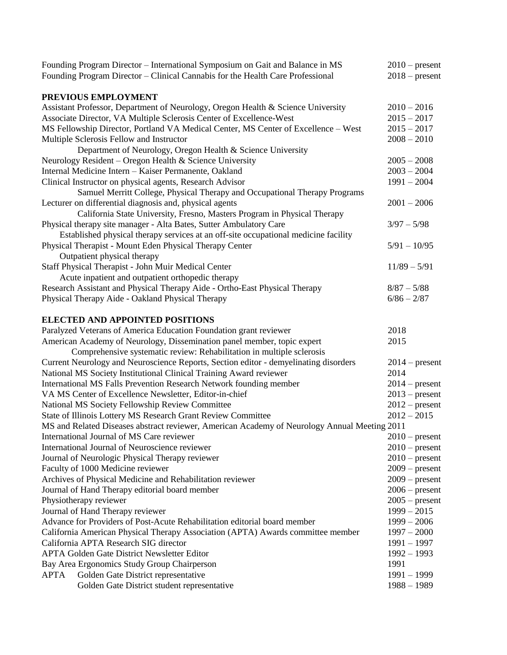| Founding Program Director - International Symposium on Gait and Balance in MS                | $2010$ – present                     |
|----------------------------------------------------------------------------------------------|--------------------------------------|
| Founding Program Director – Clinical Cannabis for the Health Care Professional               | $2018$ – present                     |
| PREVIOUS EMPLOYMENT                                                                          |                                      |
| Assistant Professor, Department of Neurology, Oregon Health & Science University             | $2010 - 2016$                        |
| Associate Director, VA Multiple Sclerosis Center of Excellence-West                          | $2015 - 2017$                        |
| MS Fellowship Director, Portland VA Medical Center, MS Center of Excellence – West           | $2015 - 2017$                        |
| Multiple Sclerosis Fellow and Instructor                                                     | $2008 - 2010$                        |
| Department of Neurology, Oregon Health & Science University                                  |                                      |
| Neurology Resident - Oregon Health & Science University                                      | $2005 - 2008$                        |
| Internal Medicine Intern - Kaiser Permanente, Oakland                                        | $2003 - 2004$                        |
| Clinical Instructor on physical agents, Research Advisor                                     | $1991 - 2004$                        |
| Samuel Merritt College, Physical Therapy and Occupational Therapy Programs                   |                                      |
| Lecturer on differential diagnosis and, physical agents                                      | $2001 - 2006$                        |
| California State University, Fresno, Masters Program in Physical Therapy                     |                                      |
| Physical therapy site manager - Alta Bates, Sutter Ambulatory Care                           | $3/97 - 5/98$                        |
| Established physical therapy services at an off-site occupational medicine facility          |                                      |
| Physical Therapist - Mount Eden Physical Therapy Center                                      | $5/91 - 10/95$                       |
| Outpatient physical therapy                                                                  |                                      |
| Staff Physical Therapist - John Muir Medical Center                                          | $11/89 - 5/91$                       |
| Acute inpatient and outpatient orthopedic therapy                                            |                                      |
| Research Assistant and Physical Therapy Aide - Ortho-East Physical Therapy                   | $8/87 - 5/88$                        |
| Physical Therapy Aide - Oakland Physical Therapy                                             | $6/86 - 2/87$                        |
| <b>ELECTED AND APPOINTED POSITIONS</b>                                                       |                                      |
| Paralyzed Veterans of America Education Foundation grant reviewer                            | 2018                                 |
| American Academy of Neurology, Dissemination panel member, topic expert                      | 2015                                 |
| Comprehensive systematic review: Rehabilitation in multiple sclerosis                        |                                      |
| Current Neurology and Neuroscience Reports, Section editor - demyelinating disorders         | $2014$ – present                     |
| National MS Society Institutional Clinical Training Award reviewer                           | 2014                                 |
| <b>International MS Falls Prevention Research Network founding member</b>                    | $2014$ – present                     |
| VA MS Center of Excellence Newsletter, Editor-in-chief                                       | $2013$ – present                     |
| National MS Society Fellowship Review Committee                                              | $2012$ – present                     |
| State of Illinois Lottery MS Research Grant Review Committee                                 | $2012 - 2015$                        |
| MS and Related Diseases abstract reviewer, American Academy of Neurology Annual Meeting 2011 |                                      |
| International Journal of MS Care reviewer                                                    | $2010$ – present                     |
| International Journal of Neuroscience reviewer                                               | $2010$ – present                     |
| Journal of Neurologic Physical Therapy reviewer                                              | $2010$ – present                     |
| Faculty of 1000 Medicine reviewer                                                            | $2009$ – present                     |
| Archives of Physical Medicine and Rehabilitation reviewer                                    | $2009$ – present                     |
| Journal of Hand Therapy editorial board member                                               | $2006$ – present<br>$2005$ – present |
| Physiotherapy reviewer<br>Journal of Hand Therapy reviewer                                   | $1999 - 2015$                        |
| Advance for Providers of Post-Acute Rehabilitation editorial board member                    | $1999 - 2006$                        |
| California American Physical Therapy Association (APTA) Awards committee member              | $1997 - 2000$                        |
| California APTA Research SIG director                                                        | $1991 - 1997$                        |
| <b>APTA Golden Gate District Newsletter Editor</b>                                           | $1992 - 1993$                        |
| Bay Area Ergonomics Study Group Chairperson                                                  | 1991                                 |
| APTA<br>Golden Gate District representative                                                  | $1991 - 1999$                        |
| Golden Gate District student representative                                                  | $1988 - 1989$                        |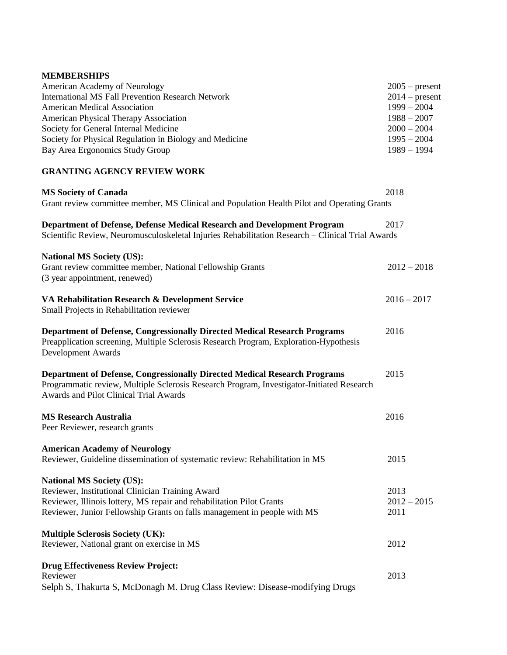#### **MEMBERSHIPS**

| <b>American Academy of Neurology</b>                    | $2005$ – present |
|---------------------------------------------------------|------------------|
| International MS Fall Prevention Research Network       | $2014$ – present |
| <b>American Medical Association</b>                     | $1999 - 2004$    |
| <b>American Physical Therapy Association</b>            | $1988 - 2007$    |
| Society for General Internal Medicine                   | $2000 - 2004$    |
| Society for Physical Regulation in Biology and Medicine | $1995 - 2004$    |
| Bay Area Ergonomics Study Group                         | $1989 - 1994$    |
|                                                         |                  |

#### **GRANTING AGENCY REVIEW WORK**

| <b>MS Society of Canada</b><br>Grant review committee member, MS Clinical and Population Health Pilot and Operating Grants                                                                                                                | 2018                          |
|-------------------------------------------------------------------------------------------------------------------------------------------------------------------------------------------------------------------------------------------|-------------------------------|
|                                                                                                                                                                                                                                           |                               |
| Department of Defense, Defense Medical Research and Development Program<br>Scientific Review, Neuromusculoskeletal Injuries Rehabilitation Research - Clinical Trial Awards                                                               | 2017                          |
| <b>National MS Society (US):</b><br>Grant review committee member, National Fellowship Grants<br>(3 year appointment, renewed)                                                                                                            | $2012 - 2018$                 |
| VA Rehabilitation Research & Development Service<br>Small Projects in Rehabilitation reviewer                                                                                                                                             | $2016 - 2017$                 |
| <b>Department of Defense, Congressionally Directed Medical Research Programs</b><br>Preapplication screening, Multiple Sclerosis Research Program, Exploration-Hypothesis<br><b>Development Awards</b>                                    | 2016                          |
| <b>Department of Defense, Congressionally Directed Medical Research Programs</b><br>Programmatic review, Multiple Sclerosis Research Program, Investigator-Initiated Research<br>Awards and Pilot Clinical Trial Awards                   | 2015                          |
| <b>MS Research Australia</b><br>Peer Reviewer, research grants                                                                                                                                                                            | 2016                          |
| <b>American Academy of Neurology</b><br>Reviewer, Guideline dissemination of systematic review: Rehabilitation in MS                                                                                                                      | 2015                          |
| <b>National MS Society (US):</b><br>Reviewer, Institutional Clinician Training Award<br>Reviewer, Illinois lottery, MS repair and rehabilitation Pilot Grants<br>Reviewer, Junior Fellowship Grants on falls management in people with MS | 2013<br>$2012 - 2015$<br>2011 |
| <b>Multiple Sclerosis Society (UK):</b><br>Reviewer, National grant on exercise in MS                                                                                                                                                     | 2012                          |
| <b>Drug Effectiveness Review Project:</b><br>Reviewer<br>Selph S, Thakurta S, McDonagh M. Drug Class Review: Disease-modifying Drugs                                                                                                      | 2013                          |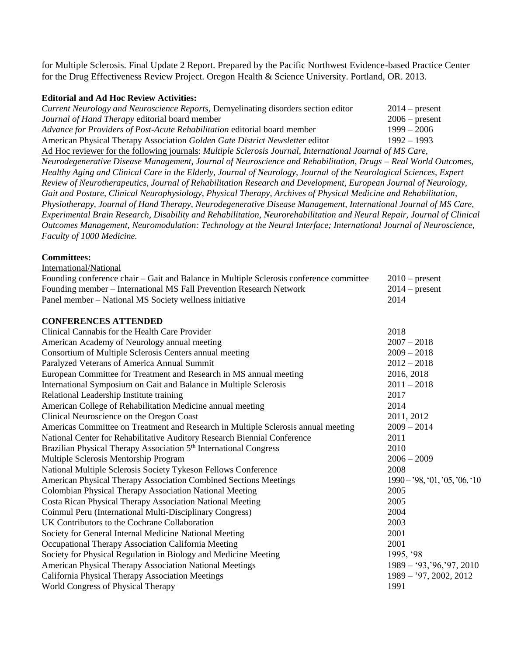for Multiple Sclerosis. Final Update 2 Report. Prepared by the Pacific Northwest Evidence-based Practice Center for the Drug Effectiveness Review Project. Oregon Health & Science University. Portland, OR. 2013.

#### **Editorial and Ad Hoc Review Activities:**

| Current Neurology and Neuroscience Reports, Demyelinating disorders section editor                        | $2014$ – present |
|-----------------------------------------------------------------------------------------------------------|------------------|
| Journal of Hand Therapy editorial board member                                                            | $2006$ – present |
| Advance for Providers of Post-Acute Rehabilitation editorial board member                                 | $1999 - 2006$    |
| American Physical Therapy Association Golden Gate District Newsletter editor                              | $1992 - 1993$    |
| Ad Hoc reviewer for the following journals: Multiple Sclerosis Journal, International Journal of MS Care, |                  |

*Neurodegenerative Disease Management, Journal of Neuroscience and Rehabilitation, Drugs – Real World Outcomes, Healthy Aging and Clinical Care in the Elderly, Journal of Neurology, Journal of the Neurological Sciences, Expert Review of Neurotherapeutics, Journal of Rehabilitation Research and Development, European Journal of Neurology, Gait and Posture, Clinical Neurophysiology, Physical Therapy, Archives of Physical Medicine and Rehabilitation, Physiotherapy, Journal of Hand Therapy, Neurodegenerative Disease Management, International Journal of MS Care, Experimental Brain Research, Disability and Rehabilitation, Neurorehabilitation and Neural Repair, Journal of Clinical Outcomes Management, Neuromodulation: Technology at the Neural Interface; International Journal of Neuroscience, Faculty of 1000 Medicine.*

#### **Committees:**

| International/National                                                                  |                             |
|-----------------------------------------------------------------------------------------|-----------------------------|
| Founding conference chair – Gait and Balance in Multiple Sclerosis conference committee | $2010$ – present            |
| Founding member - International MS Fall Prevention Research Network                     | $2014$ – present            |
| Panel member - National MS Society wellness initiative                                  | 2014                        |
| <b>CONFERENCES ATTENDED</b>                                                             |                             |
| Clinical Cannabis for the Health Care Provider                                          | 2018                        |
| American Academy of Neurology annual meeting                                            | $2007 - 2018$               |
| Consortium of Multiple Sclerosis Centers annual meeting                                 | $2009 - 2018$               |
| Paralyzed Veterans of America Annual Summit                                             | $2012 - 2018$               |
| European Committee for Treatment and Research in MS annual meeting                      | 2016, 2018                  |
| International Symposium on Gait and Balance in Multiple Sclerosis                       | $2011 - 2018$               |
| Relational Leadership Institute training                                                | 2017                        |
| American College of Rehabilitation Medicine annual meeting                              | 2014                        |
| Clinical Neuroscience on the Oregon Coast                                               | 2011, 2012                  |
| Americas Committee on Treatment and Research in Multiple Sclerosis annual meeting       | $2009 - 2014$               |
| National Center for Rehabilitative Auditory Research Biennial Conference                | 2011                        |
| Brazilian Physical Therapy Association 5 <sup>th</sup> International Congress           | 2010                        |
| Multiple Sclerosis Mentorship Program                                                   | $2006 - 2009$               |
| National Multiple Sclerosis Society Tykeson Fellows Conference                          | 2008                        |
| American Physical Therapy Association Combined Sections Meetings                        | $1990 - 98, 01, 05, 06, 10$ |
| Colombian Physical Therapy Association National Meeting                                 | 2005                        |
| Costa Rican Physical Therapy Association National Meeting                               | 2005                        |
| Coinmul Peru (International Multi-Disciplinary Congress)                                | 2004                        |
| UK Contributors to the Cochrane Collaboration                                           | 2003                        |
| Society for General Internal Medicine National Meeting                                  | 2001                        |
| Occupational Therapy Association California Meeting                                     | 2001                        |
| Society for Physical Regulation in Biology and Medicine Meeting                         | 1995, '98                   |
| American Physical Therapy Association National Meetings                                 | $1989 - 93, 96, 97, 2010$   |
| California Physical Therapy Association Meetings                                        | $1989 - 97, 2002, 2012$     |
| World Congress of Physical Therapy                                                      | 1991                        |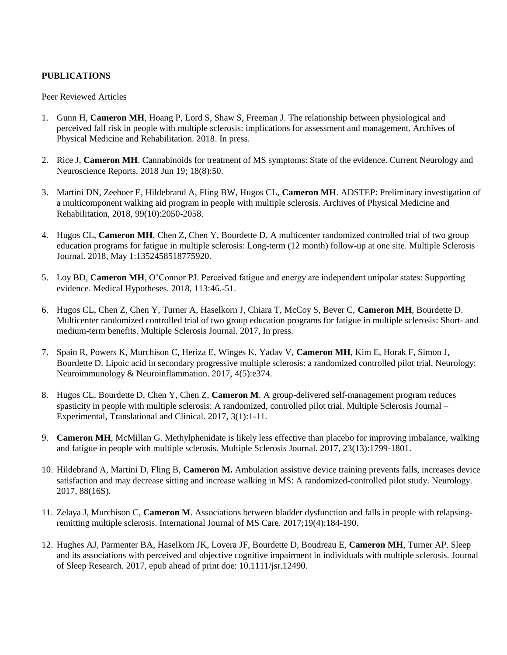## **PUBLICATIONS**

#### Peer Reviewed Articles

- 1. Gunn H, **Cameron MH**, Hoang P, Lord S, Shaw S, Freeman J. The relationship between physiological and perceived fall risk in people with multiple sclerosis: implications for assessment and management. Archives of Physical Medicine and Rehabilitation. 2018. In press.
- 2. Rice J, **Cameron MH**. Cannabinoids for treatment of MS symptoms: State of the evidence. Current Neurology and Neuroscience Reports. 2018 Jun 19; 18(8):50.
- 3. Martini DN, Zeeboer E, Hildebrand A, Fling BW, Hugos CL, **Cameron MH**. ADSTEP: Preliminary investigation of a multicomponent walking aid program in people with multiple sclerosis. Archives of Physical Medicine and Rehabilitation, 2018, 99(10):2050-2058.
- 4. Hugos CL, **Cameron MH**, Chen Z, Chen Y, Bourdette D. A multicenter randomized controlled trial of two group education programs for fatigue in multiple sclerosis: Long-term (12 month) follow-up at one site. Multiple Sclerosis Journal. 2018, May 1:1352458518775920.
- 5. Loy BD, **Cameron MH**, O'Connor PJ. Perceived fatigue and energy are independent unipolar states: Supporting evidence. Medical Hypotheses. 2018, 113:46.-51.
- 6. Hugos CL, Chen Z, Chen Y, Turner A, Haselkorn J, Chiara T, McCoy S, Bever C, **Cameron MH**, Bourdette D. Multicenter randomized controlled trial of two group education programs for fatigue in multiple sclerosis: Short- and medium-term benefits. Multiple Sclerosis Journal. 2017, In press.
- 7. Spain R, Powers K, Murchison C, Heriza E, Winges K, Yadav V, **Cameron MH**, Kim E, Horak F, Simon J, Bourdette D. Lipoic acid in secondary progressive multiple sclerosis: a randomized controlled pilot trial. Neurology: Neuroimmunology & Neuroinflammation. 2017, 4(5):e374.
- 8. Hugos CL, Bourdette D, Chen Y, Chen Z, **Cameron M**. A group-delivered self-management program reduces spasticity in people with multiple sclerosis: A randomized, controlled pilot trial. Multiple Sclerosis Journal – Experimental, Translational and Clinical. 2017, 3(1):1-11.
- 9. **Cameron MH**, McMillan G. Methylphenidate is likely less effective than placebo for improving imbalance, walking and fatigue in people with multiple sclerosis. Multiple Sclerosis Journal. 2017, 23(13):1799-1801.
- 10. Hildebrand A, Martini D, Fling B, **Cameron M.** Ambulation assistive device training prevents falls, increases device satisfaction and may decrease sitting and increase walking in MS: A randomized-controlled pilot study. Neurology. 2017, 88(16S).
- 11. Zelaya J, Murchison C, **Cameron M**. Associations between bladder dysfunction and falls in people with relapsingremitting multiple sclerosis. International Journal of MS Care. 2017;19(4):184-190.
- 12. Hughes AJ, Parmenter BA, Haselkorn JK, Lovera JF, Bourdette D, Boudreau E, **Cameron MH**, Turner AP. Sleep and its associations with perceived and objective cognitive impairment in individuals with multiple sclerosis. Journal of Sleep Research. 2017, epub ahead of print doe: 10.1111/jsr.12490.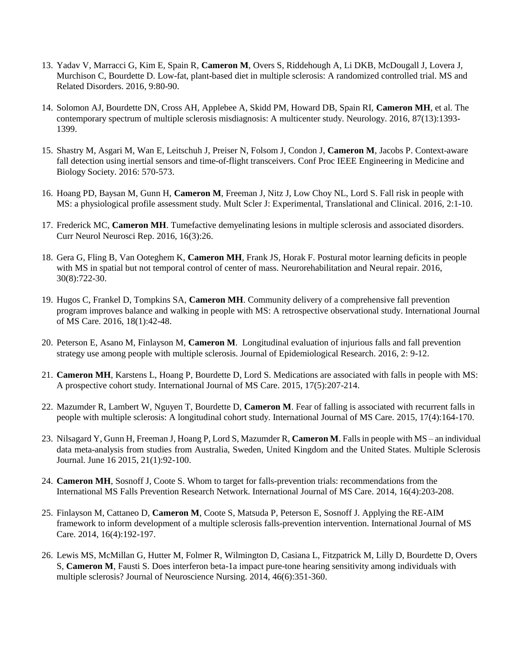- 13. Yadav V, Marracci G, Kim E, Spain R, **Cameron M**, Overs S, Riddehough A, Li DKB, McDougall J, Lovera J, Murchison C, Bourdette D. Low-fat, plant-based diet in multiple sclerosis: A randomized controlled trial. MS and Related Disorders. 2016, 9:80-90.
- 14. Solomon AJ, Bourdette DN, Cross AH, Applebee A, Skidd PM, Howard DB, Spain RI, **Cameron MH**, et al. The contemporary spectrum of multiple sclerosis misdiagnosis: A multicenter study. Neurology. 2016, 87(13):1393- 1399.
- 15. Shastry M, Asgari M, Wan E, Leitschuh J, Preiser N, Folsom J, Condon J, **Cameron M**, Jacobs P. Context-aware fall detection using inertial sensors and time-of-flight transceivers. Conf Proc IEEE Engineering in Medicine and Biology Society. 2016: 570-573.
- 16. Hoang PD, Baysan M, Gunn H, **Cameron M**, Freeman J, Nitz J, Low Choy NL, Lord S. Fall risk in people with MS: a physiological profile assessment study. Mult Scler J: Experimental, Translational and Clinical. 2016, 2:1-10.
- 17. Frederick MC, **Cameron MH**. Tumefactive demyelinating lesions in multiple sclerosis and associated disorders. Curr Neurol Neurosci Rep. 2016, 16(3):26.
- 18. Gera G, Fling B, Van Ooteghem K, **Cameron MH**, Frank JS, Horak F. Postural motor learning deficits in people with MS in spatial but not temporal control of center of mass. Neurorehabilitation and Neural repair. 2016, 30(8):722-30.
- 19. Hugos C, Frankel D, Tompkins SA, **Cameron MH**. Community delivery of a comprehensive fall prevention program improves balance and walking in people with MS: A retrospective observational study. International Journal of MS Care. 2016, 18(1):42-48.
- 20. Peterson E, Asano M, Finlayson M, **Cameron M**. Longitudinal evaluation of injurious falls and fall prevention strategy use among people with multiple sclerosis. Journal of Epidemiological Research. 2016, 2: 9-12.
- 21. **Cameron MH**, Karstens L, Hoang P, Bourdette D, Lord S. Medications are associated with falls in people with MS: A prospective cohort study. International Journal of MS Care. 2015, 17(5):207-214.
- 22. Mazumder R, Lambert W, Nguyen T, Bourdette D, **Cameron M**. Fear of falling is associated with recurrent falls in people with multiple sclerosis: A longitudinal cohort study. International Journal of MS Care. 2015, 17(4):164-170.
- 23. Nilsagard Y, Gunn H, Freeman J, Hoang P, Lord S, Mazumder R, **Cameron M**. Falls in people with MS an individual data meta-analysis from studies from Australia, Sweden, United Kingdom and the United States. Multiple Sclerosis Journal. June 16 2015, 21(1):92-100.
- 24. **Cameron MH**, Sosnoff J, Coote S. Whom to target for falls-prevention trials: recommendations from the International MS Falls Prevention Research Network. International Journal of MS Care. 2014, 16(4):203-208.
- 25. Finlayson M, Cattaneo D, **Cameron M**, Coote S, Matsuda P, Peterson E, Sosnoff J. Applying the RE-AIM framework to inform development of a multiple sclerosis falls-prevention intervention. International Journal of MS Care. 2014, 16(4):192-197.
- 26. Lewis MS, McMillan G, Hutter M, Folmer R, Wilmington D, Casiana L, Fitzpatrick M, Lilly D, Bourdette D, Overs S, **Cameron M**, Fausti S. Does interferon beta-1a impact pure-tone hearing sensitivity among individuals with multiple sclerosis? Journal of Neuroscience Nursing. 2014, 46(6):351-360.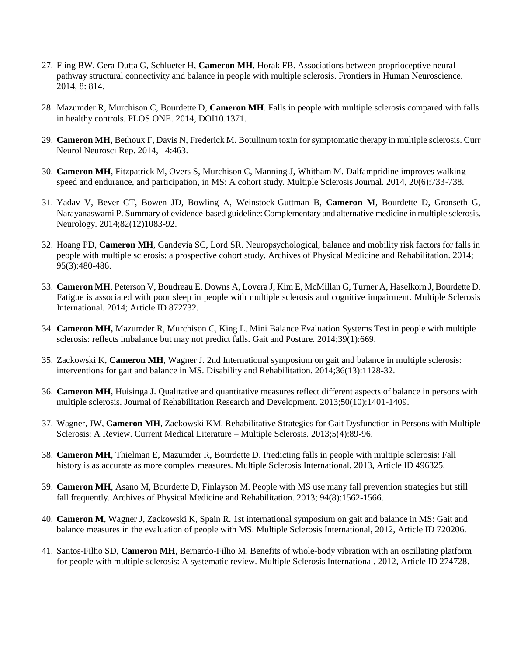- 27. Fling BW, Gera-Dutta G, Schlueter H, **Cameron MH**, Horak FB. Associations between proprioceptive neural pathway structural connectivity and balance in people with multiple sclerosis. Frontiers in Human Neuroscience. 2014, 8: 814.
- 28. Mazumder R, Murchison C, Bourdette D, **Cameron MH**. Falls in people with multiple sclerosis compared with falls in healthy controls. PLOS ONE. 2014, DOI10.1371.
- 29. **Cameron MH**, Bethoux F, Davis N, Frederick M. Botulinum toxin for symptomatic therapy in multiple sclerosis. Curr Neurol Neurosci Rep. 2014, 14:463.
- 30. **Cameron MH**, Fitzpatrick M, Overs S, Murchison C, Manning J, Whitham M. Dalfampridine improves walking speed and endurance, and participation, in MS: A cohort study. Multiple Sclerosis Journal. 2014, 20(6):733-738.
- 31. Yadav V, Bever CT, Bowen JD, Bowling A, Weinstock-Guttman B, **Cameron M**, Bourdette D, Gronseth G, Narayanaswami P. Summary of evidence-based guideline: Complementary and alternative medicine in multiple sclerosis. Neurology. 2014;82(12)1083-92.
- 32. Hoang PD, **Cameron MH**, Gandevia SC, Lord SR. Neuropsychological, balance and mobility risk factors for falls in people with multiple sclerosis: a prospective cohort study. Archives of Physical Medicine and Rehabilitation. 2014; 95(3):480-486.
- 33. **Cameron MH**, Peterson V, Boudreau E, Downs A, Lovera J, Kim E, McMillan G, Turner A, Haselkorn J, Bourdette D. Fatigue is associated with poor sleep in people with multiple sclerosis and cognitive impairment. Multiple Sclerosis International. 2014; Article ID 872732.
- 34. **Cameron MH,** Mazumder R, Murchison C, King L. Mini Balance Evaluation Systems Test in people with multiple sclerosis: reflects imbalance but may not predict falls. Gait and Posture. 2014;39(1):669.
- 35. Zackowski K, **Cameron MH**, Wagner J. 2nd International symposium on gait and balance in multiple sclerosis: interventions for gait and balance in MS. Disability and Rehabilitation. 2014;36(13):1128-32.
- 36. **Cameron MH**, Huisinga J. Qualitative and quantitative measures reflect different aspects of balance in persons with multiple sclerosis. Journal of Rehabilitation Research and Development. 2013;50(10):1401-1409.
- 37. Wagner, JW, **Cameron MH**, Zackowski KM. Rehabilitative Strategies for Gait Dysfunction in Persons with Multiple Sclerosis: A Review. Current Medical Literature – Multiple Sclerosis. 2013;5(4):89-96.
- 38. **Cameron MH**, Thielman E, Mazumder R, Bourdette D. Predicting falls in people with multiple sclerosis: Fall history is as accurate as more complex measures. Multiple Sclerosis International. 2013, Article ID 496325.
- 39. **Cameron MH**, Asano M, Bourdette D, Finlayson M. People with MS use many fall prevention strategies but still fall frequently. Archives of Physical Medicine and Rehabilitation. 2013; 94(8):1562-1566.
- 40. **Cameron M**, Wagner J, Zackowski K, Spain R. 1st international symposium on gait and balance in MS: Gait and balance measures in the evaluation of people with MS. Multiple Sclerosis International, 2012, Article ID 720206.
- 41. Santos-Filho SD, **Cameron MH**, Bernardo-Filho M. Benefits of whole-body vibration with an oscillating platform for people with multiple sclerosis: A systematic review. Multiple Sclerosis International. 2012, Article ID 274728.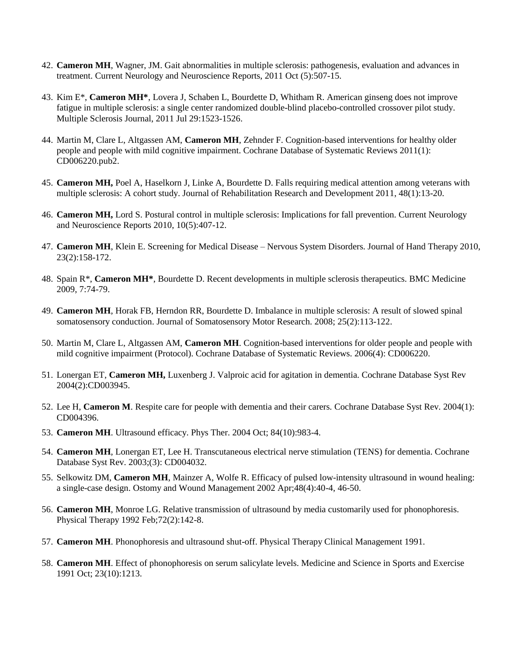- 42. **Cameron MH**, Wagner, JM. Gait abnormalities in multiple sclerosis: pathogenesis, evaluation and advances in treatment. Current Neurology and Neuroscience Reports, 2011 Oct (5):507-15.
- 43. Kim E\*, **Cameron MH\***, Lovera J, Schaben L, Bourdette D, Whitham R. American ginseng does not improve fatigue in multiple sclerosis: a single center randomized double-blind placebo-controlled crossover pilot study. Multiple Sclerosis Journal, 2011 Jul 29:1523-1526.
- 44. Martin M, Clare L, Altgassen AM, **Cameron MH**, Zehnder F. Cognition-based interventions for healthy older people and people with mild cognitive impairment. Cochrane Database of Systematic Reviews 2011(1): CD006220.pub2.
- 45. **Cameron MH,** Poel A, Haselkorn J, Linke A, Bourdette D. Falls requiring medical attention among veterans with multiple sclerosis: A cohort study. Journal of Rehabilitation Research and Development 2011, 48(1):13-20.
- 46. **Cameron MH,** Lord S. Postural control in multiple sclerosis: Implications for fall prevention. Current Neurology and Neuroscience Reports 2010, 10(5):407-12.
- 47. **Cameron MH**, Klein E. Screening for Medical Disease Nervous System Disorders. Journal of Hand Therapy 2010, 23(2):158-172.
- 48. Spain R\*, **Cameron MH\***, Bourdette D. Recent developments in multiple sclerosis therapeutics. BMC Medicine 2009, 7:74-79.
- 49. **Cameron MH**, Horak FB, Herndon RR, Bourdette D. Imbalance in multiple sclerosis: A result of slowed spinal somatosensory conduction. Journal of Somatosensory Motor Research. 2008; 25(2):113-122.
- 50. Martin M, Clare L, Altgassen AM, **Cameron MH**. Cognition-based interventions for older people and people with mild cognitive impairment (Protocol). Cochrane Database of Systematic Reviews. 2006(4): CD006220.
- 51. Lonergan ET, **Cameron MH,** Luxenberg J. Valproic acid for agitation in dementia. Cochrane Database Syst Rev 2004(2):CD003945.
- 52. Lee H, **Cameron M**. Respite care for people with dementia and their carers. Cochrane Database Syst Rev. 2004(1): CD004396.
- 53. **Cameron MH**. Ultrasound efficacy. Phys Ther. 2004 Oct; 84(10):983-4.
- 54. **Cameron MH**, Lonergan ET, Lee H. Transcutaneous electrical nerve stimulation (TENS) for dementia. Cochrane Database Syst Rev. 2003;(3): CD004032.
- 55. Selkowitz DM, **Cameron MH**, Mainzer A, Wolfe R. Efficacy of pulsed low-intensity ultrasound in wound healing: a single-case design. Ostomy and Wound Management 2002 Apr;48(4):40-4, 46-50.
- 56. **Cameron MH**, Monroe LG. Relative transmission of ultrasound by media customarily used for phonophoresis. Physical Therapy 1992 Feb;72(2):142-8.
- 57. **Cameron MH**. Phonophoresis and ultrasound shut-off. Physical Therapy Clinical Management 1991.
- 58. **Cameron MH**. Effect of phonophoresis on serum salicylate levels. Medicine and Science in Sports and Exercise 1991 Oct; 23(10):1213.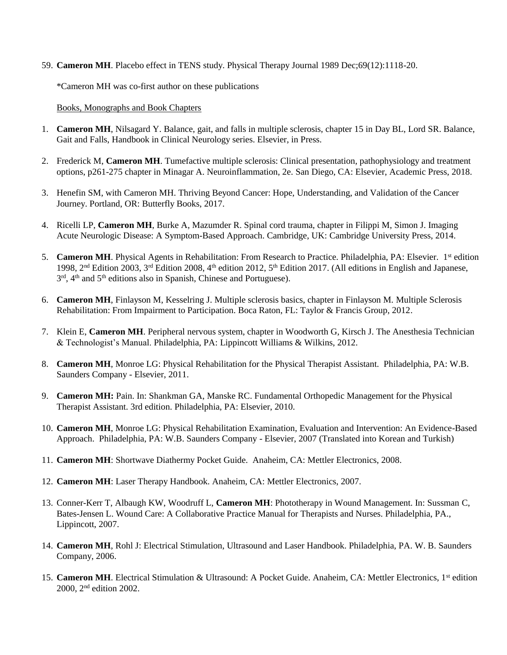59. **Cameron MH**. Placebo effect in TENS study. Physical Therapy Journal 1989 Dec;69(12):1118-20.

\*Cameron MH was co-first author on these publications

Books, Monographs and Book Chapters

- 1. **Cameron MH**, Nilsagard Y. Balance, gait, and falls in multiple sclerosis, chapter 15 in Day BL, Lord SR. Balance, Gait and Falls, Handbook in Clinical Neurology series. Elsevier, in Press.
- 2. Frederick M, **Cameron MH**. Tumefactive multiple sclerosis: Clinical presentation, pathophysiology and treatment options, p261-275 chapter in Minagar A. Neuroinflammation, 2e. San Diego, CA: Elsevier, Academic Press, 2018.
- 3. Henefin SM, with Cameron MH. Thriving Beyond Cancer: Hope, Understanding, and Validation of the Cancer Journey. Portland, OR: Butterfly Books, 2017.
- 4. Ricelli LP, **Cameron MH**, Burke A, Mazumder R. Spinal cord trauma, chapter in Filippi M, Simon J. Imaging Acute Neurologic Disease: A Symptom-Based Approach. Cambridge, UK: Cambridge University Press, 2014.
- 5. **Cameron MH**. Physical Agents in Rehabilitation: From Research to Practice. Philadelphia, PA: Elsevier. 1<sup>st</sup> edition 1998, 2<sup>nd</sup> Edition 2003, 3<sup>rd</sup> Edition 2008, 4<sup>th</sup> edition 2012, 5<sup>th</sup> Edition 2017. (All editions in English and Japanese, 3<sup>rd</sup>, 4<sup>th</sup> and 5<sup>th</sup> editions also in Spanish, Chinese and Portuguese).
- 6. **Cameron MH**, Finlayson M, Kesselring J. Multiple sclerosis basics, chapter in Finlayson M. Multiple Sclerosis Rehabilitation: From Impairment to Participation. Boca Raton, FL: Taylor & Francis Group, 2012.
- 7. Klein E, **Cameron MH**. Peripheral nervous system, chapter in Woodworth G, Kirsch J. The Anesthesia Technician & Technologist's Manual. Philadelphia, PA: Lippincott Williams & Wilkins, 2012.
- 8. **Cameron MH**, Monroe LG: Physical Rehabilitation for the Physical Therapist Assistant. Philadelphia, PA: W.B. Saunders Company - Elsevier, 2011.
- 9. **Cameron MH:** Pain. In: Shankman GA, Manske RC. Fundamental Orthopedic Management for the Physical Therapist Assistant. 3rd edition. Philadelphia, PA: Elsevier, 2010.
- 10. **Cameron MH**, Monroe LG: Physical Rehabilitation Examination, Evaluation and Intervention: An Evidence-Based Approach. Philadelphia, PA: W.B. Saunders Company - Elsevier, 2007 (Translated into Korean and Turkish)
- 11. **Cameron MH**: Shortwave Diathermy Pocket Guide. Anaheim, CA: Mettler Electronics, 2008.
- 12. **Cameron MH**: Laser Therapy Handbook. Anaheim, CA: Mettler Electronics, 2007.
- 13. Conner-Kerr T, Albaugh KW, Woodruff L, **Cameron MH**: Phototherapy in Wound Management. In: Sussman C, Bates-Jensen L. Wound Care: A Collaborative Practice Manual for Therapists and Nurses. Philadelphia, PA., Lippincott, 2007.
- 14. **Cameron MH**, Rohl J: Electrical Stimulation, Ultrasound and Laser Handbook. Philadelphia, PA. W. B. Saunders Company, 2006.
- 15. **Cameron MH**. Electrical Stimulation & Ultrasound: A Pocket Guide. Anaheim, CA: Mettler Electronics, 1<sup>st</sup> edition 2000, 2nd edition 2002.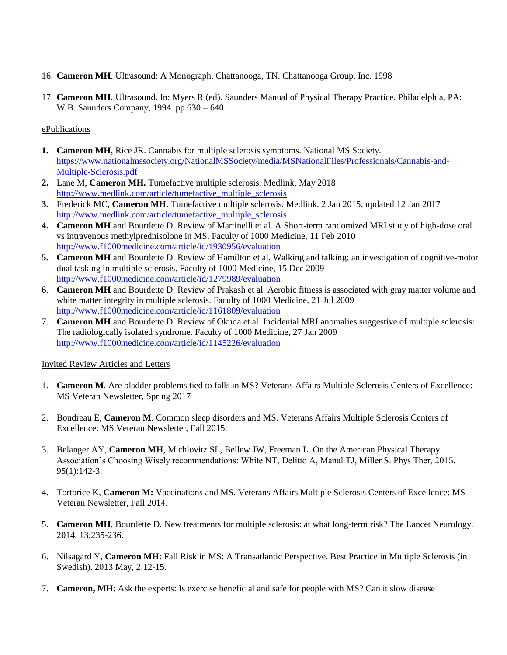- 16. **Cameron MH**. Ultrasound: A Monograph. Chattanooga, TN. Chattanooga Group, Inc. 1998
- 17. **Cameron MH**. Ultrasound. In: Myers R (ed). Saunders Manual of Physical Therapy Practice. Philadelphia, PA: W.B. Saunders Company, 1994. pp 630 – 640.

## ePublications

- **1. Cameron MH**, Rice JR. Cannabis for multiple sclerosis symptoms. National MS Society. [https://www.nationalmssociety.org/NationalMSSociety/media/MSNationalFiles/Professionals/Cannabis-and-](https://www.nationalmssociety.org/NationalMSSociety/media/MSNationalFiles/Professionals/Cannabis-and-Multiple-Sclerosis.pdf)[Multiple-Sclerosis.pdf](https://www.nationalmssociety.org/NationalMSSociety/media/MSNationalFiles/Professionals/Cannabis-and-Multiple-Sclerosis.pdf)
- **2.** Lane M, **Cameron MH.** Tumefactive multiple sclerosis. Medlink. May 2018 [http://www.medlink.com/article/tumefactive\\_multiple\\_sclerosis](http://www.medlink.com/article/tumefactive_multiple_sclerosis)
- **3.** Frederick MC, **Cameron MH.** Tumefactive multiple sclerosis. Medlink. 2 Jan 2015, updated 12 Jan 2017 [http://www.medlink.com/article/tumefactive\\_multiple\\_sclerosis](http://www.medlink.com/article/tumefactive_multiple_sclerosis)
- **4. Cameron MH** and Bourdette D. Review of Martinelli et al. A Short-term randomized MRI study of high-dose oral vs intravenous methylprednisolone in MS. Faculty of 1000 Medicine, 11 Feb 2010 <http://www.f1000medicine.com/article/id/1930956/evaluation>
- **5. Cameron MH** and Bourdette D. Review of Hamilton et al. Walking and talking: an investigation of cognitive-motor dual tasking in multiple sclerosis. Faculty of 1000 Medicine, 15 Dec 2009 <http://www.f1000medicine.com/article/id/1279989/evaluation>
- 6. **Cameron MH** and Bourdette D. Review of Prakash et al. Aerobic fitness is associated with gray matter volume and white matter integrity in multiple sclerosis. Faculty of 1000 Medicine, 21 Jul 2009 <http://www.f1000medicine.com/article/id/1161809/evaluation>
- 7. **Cameron MH** and Bourdette D. Review of Okuda et al. Incidental MRI anomalies suggestive of multiple sclerosis: The radiologically isolated syndrome. Faculty of 1000 Medicine, 27 Jan 2009 <http://www.f1000medicine.com/article/id/1145226/evaluation>

## Invited Review Articles and Letters

- 1. **Cameron M**. Are bladder problems tied to falls in MS? Veterans Affairs Multiple Sclerosis Centers of Excellence: MS Veteran Newsletter, Spring 2017
- 2. Boudreau E, **Cameron M**. Common sleep disorders and MS. Veterans Affairs Multiple Sclerosis Centers of Excellence: MS Veteran Newsletter, Fall 2015.
- 3. Belanger AY, **Cameron MH**, Michlovitz SL, Bellew JW, Freeman L. On the American Physical Therapy Association's Choosing Wisely recommendations: White NT, Delitto A, Manal TJ, Miller S. Phys Ther, 2015. 95(1):142-3.
- 4. Tortorice K, **Cameron M:** Vaccinations and MS. Veterans Affairs Multiple Sclerosis Centers of Excellence: MS Veteran Newsletter, Fall 2014.
- 5. **Cameron MH**, Bourdette D. New treatments for multiple sclerosis: at what long-term risk? The Lancet Neurology. 2014, 13;235-236.
- 6. Nilsagard Y, **Cameron MH**: Fall Risk in MS: A Transatlantic Perspective. Best Practice in Multiple Sclerosis (in Swedish). 2013 May, 2:12-15.
- 7. **Cameron, MH**: Ask the experts: Is exercise beneficial and safe for people with MS? Can it slow disease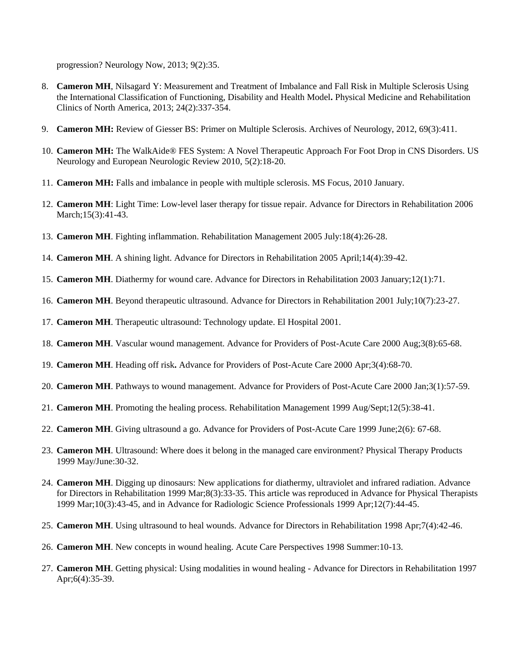progression? Neurology Now, 2013; 9(2):35.

- 8. **Cameron MH**, Nilsagard Y: Measurement and Treatment of Imbalance and Fall Risk in Multiple Sclerosis Using the International Classification of Functioning, Disability and Health Model**.** Physical Medicine and Rehabilitation Clinics of North America, 2013; 24(2):337-354.
- 9. **Cameron MH:** Review of Giesser BS: Primer on Multiple Sclerosis. Archives of Neurology, 2012, 69(3):411.
- 10. **Cameron MH:** The WalkAide® FES System: A Novel Therapeutic Approach For Foot Drop in CNS Disorders. US Neurology and European Neurologic Review 2010, 5(2):18-20.
- 11. **Cameron MH:** Falls and imbalance in people with multiple sclerosis. MS Focus, 2010 January.
- 12. **Cameron MH**: Light Time: Low-level laser therapy for tissue repair. Advance for Directors in Rehabilitation 2006 March;15(3):41-43.
- 13. **Cameron MH**. Fighting inflammation. Rehabilitation Management 2005 July:18(4):26-28.
- 14. **Cameron MH**. A shining light. Advance for Directors in Rehabilitation 2005 April;14(4):39-42.
- 15. **Cameron MH**. Diathermy for wound care. Advance for Directors in Rehabilitation 2003 January;12(1):71.
- 16. **Cameron MH**. Beyond therapeutic ultrasound. Advance for Directors in Rehabilitation 2001 July;10(7):23-27.
- 17. **Cameron MH**. Therapeutic ultrasound: Technology update. El Hospital 2001.
- 18. **Cameron MH**. Vascular wound management. Advance for Providers of Post-Acute Care 2000 Aug;3(8):65-68.
- 19. **Cameron MH**. Heading off risk**.** Advance for Providers of Post-Acute Care 2000 Apr;3(4):68-70.
- 20. **Cameron MH**. Pathways to wound management. Advance for Providers of Post-Acute Care 2000 Jan;3(1):57-59.
- 21. **Cameron MH**. Promoting the healing process. Rehabilitation Management 1999 Aug/Sept;12(5):38-41.
- 22. **Cameron MH**. Giving ultrasound a go. Advance for Providers of Post-Acute Care 1999 June;2(6): 67-68.
- 23. **Cameron MH**. Ultrasound: Where does it belong in the managed care environment? Physical Therapy Products 1999 May/June:30-32.
- 24. **Cameron MH**. Digging up dinosaurs: New applications for diathermy, ultraviolet and infrared radiation. Advance for Directors in Rehabilitation 1999 Mar;8(3):33-35. This article was reproduced in Advance for Physical Therapists 1999 Mar;10(3):43-45, and in Advance for Radiologic Science Professionals 1999 Apr;12(7):44-45.
- 25. **Cameron MH**. Using ultrasound to heal wounds. Advance for Directors in Rehabilitation 1998 Apr;7(4):42-46.
- 26. **Cameron MH**. New concepts in wound healing. Acute Care Perspectives 1998 Summer:10-13.
- 27. **Cameron MH**. Getting physical: Using modalities in wound healing Advance for Directors in Rehabilitation 1997 Apr;6(4):35-39.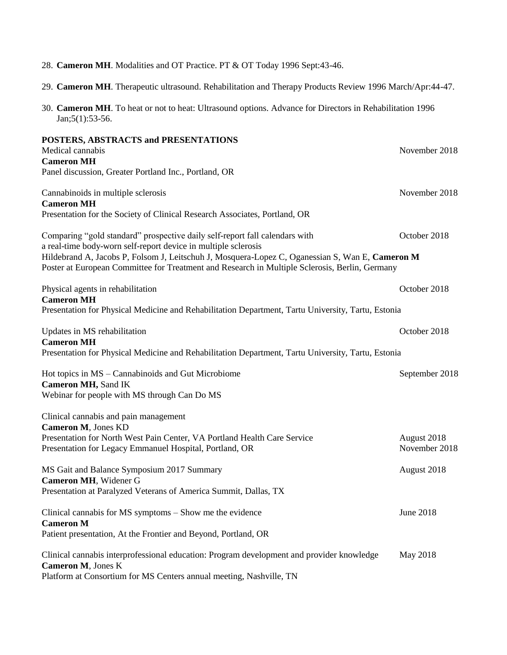| 30. Cameron MH. To heat or not to heat: Ultrasound options. Advance for Directors in Rehabilitation 1996<br>$Jan; 5(1): 53-56.$                                                                                                                                                                                                                    |                              |
|----------------------------------------------------------------------------------------------------------------------------------------------------------------------------------------------------------------------------------------------------------------------------------------------------------------------------------------------------|------------------------------|
| POSTERS, ABSTRACTS and PRESENTATIONS<br>Medical cannabis<br><b>Cameron MH</b><br>Panel discussion, Greater Portland Inc., Portland, OR                                                                                                                                                                                                             | November 2018                |
| Cannabinoids in multiple sclerosis<br><b>Cameron MH</b><br>Presentation for the Society of Clinical Research Associates, Portland, OR                                                                                                                                                                                                              | November 2018                |
| Comparing "gold standard" prospective daily self-report fall calendars with<br>a real-time body-worn self-report device in multiple sclerosis<br>Hildebrand A, Jacobs P, Folsom J, Leitschuh J, Mosquera-Lopez C, Oganessian S, Wan E, Cameron M<br>Poster at European Committee for Treatment and Research in Multiple Sclerosis, Berlin, Germany | October 2018                 |
| Physical agents in rehabilitation<br><b>Cameron MH</b><br>Presentation for Physical Medicine and Rehabilitation Department, Tartu University, Tartu, Estonia                                                                                                                                                                                       | October 2018                 |
| Updates in MS rehabilitation<br><b>Cameron MH</b><br>Presentation for Physical Medicine and Rehabilitation Department, Tartu University, Tartu, Estonia                                                                                                                                                                                            | October 2018                 |
| Hot topics in MS – Cannabinoids and Gut Microbiome<br><b>Cameron MH, Sand IK</b><br>Webinar for people with MS through Can Do MS                                                                                                                                                                                                                   | September 2018               |
| Clinical cannabis and pain management<br>Cameron M, Jones KD<br>Presentation for North West Pain Center, VA Portland Health Care Service<br>Presentation for Legacy Emmanuel Hospital, Portland, OR                                                                                                                                                | August 2018<br>November 2018 |
| MS Gait and Balance Symposium 2017 Summary<br>Cameron MH, Widener G<br>Presentation at Paralyzed Veterans of America Summit, Dallas, TX                                                                                                                                                                                                            | August 2018                  |
| Clinical cannabis for MS symptoms – Show me the evidence<br><b>Cameron M</b><br>Patient presentation, At the Frontier and Beyond, Portland, OR                                                                                                                                                                                                     | June 2018                    |
| Clinical cannabis interprofessional education: Program development and provider knowledge<br>Cameron M, Jones K<br>Platform at Consortium for MS Centers annual meeting, Nashville, TN                                                                                                                                                             | May 2018                     |

- 28. **Cameron MH**. Modalities and OT Practice. PT & OT Today 1996 Sept:43-46.
- 29. **Cameron MH**. Therapeutic ultrasound. Rehabilitation and Therapy Products Review 1996 March/Apr:44-47.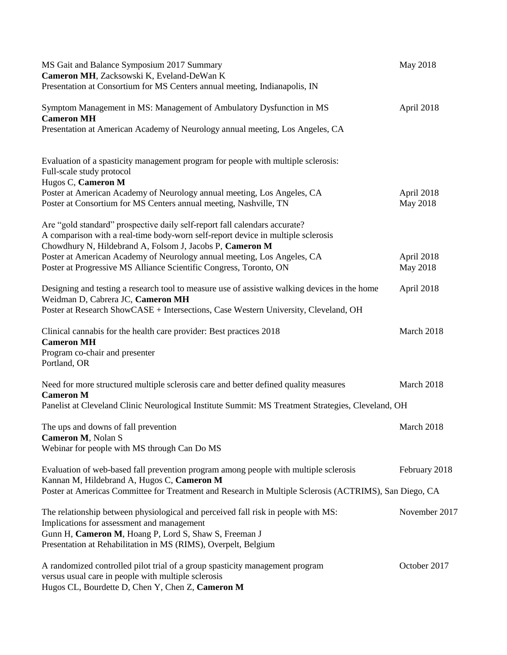| MS Gait and Balance Symposium 2017 Summary<br>Cameron MH, Zacksowski K, Eveland-DeWan K<br>Presentation at Consortium for MS Centers annual meeting, Indianapolis, IN                                                      | May 2018               |
|----------------------------------------------------------------------------------------------------------------------------------------------------------------------------------------------------------------------------|------------------------|
| Symptom Management in MS: Management of Ambulatory Dysfunction in MS<br><b>Cameron MH</b><br>Presentation at American Academy of Neurology annual meeting, Los Angeles, CA                                                 | April 2018             |
| Evaluation of a spasticity management program for people with multiple sclerosis:<br>Full-scale study protocol<br>Hugos C, Cameron M<br>Poster at American Academy of Neurology annual meeting, Los Angeles, CA            | April 2018             |
| Poster at Consortium for MS Centers annual meeting, Nashville, TN                                                                                                                                                          | May 2018               |
| Are "gold standard" prospective daily self-report fall calendars accurate?<br>A comparison with a real-time body-worn self-report device in multiple sclerosis<br>Chowdhury N, Hildebrand A, Folsom J, Jacobs P, Cameron M |                        |
| Poster at American Academy of Neurology annual meeting, Los Angeles, CA<br>Poster at Progressive MS Alliance Scientific Congress, Toronto, ON                                                                              | April 2018<br>May 2018 |
| Designing and testing a research tool to measure use of assistive walking devices in the home<br>Weidman D, Cabrera JC, Cameron MH                                                                                         | April 2018             |
| Poster at Research ShowCASE + Intersections, Case Western University, Cleveland, OH                                                                                                                                        |                        |
| Clinical cannabis for the health care provider: Best practices 2018<br><b>Cameron MH</b><br>Program co-chair and presenter                                                                                                 | March 2018             |
| Portland, OR                                                                                                                                                                                                               |                        |
| Need for more structured multiple sclerosis care and better defined quality measures<br><b>Cameron M</b>                                                                                                                   | March 2018             |
| Panelist at Cleveland Clinic Neurological Institute Summit: MS Treatment Strategies, Cleveland, OH                                                                                                                         |                        |
| The ups and downs of fall prevention<br>Cameron M, Nolan S                                                                                                                                                                 | March 2018             |
| Webinar for people with MS through Can Do MS                                                                                                                                                                               |                        |
| Evaluation of web-based fall prevention program among people with multiple sclerosis<br>Kannan M, Hildebrand A, Hugos C, Cameron M                                                                                         | February 2018          |
| Poster at Americas Committee for Treatment and Research in Multiple Sclerosis (ACTRIMS), San Diego, CA                                                                                                                     |                        |
| The relationship between physiological and perceived fall risk in people with MS:<br>Implications for assessment and management                                                                                            | November 2017          |
| Gunn H, Cameron M, Hoang P, Lord S, Shaw S, Freeman J<br>Presentation at Rehabilitation in MS (RIMS), Overpelt, Belgium                                                                                                    |                        |
| A randomized controlled pilot trial of a group spasticity management program<br>versus usual care in people with multiple sclerosis<br>Hugos CL, Bourdette D, Chen Y, Chen Z, Cameron M                                    | October 2017           |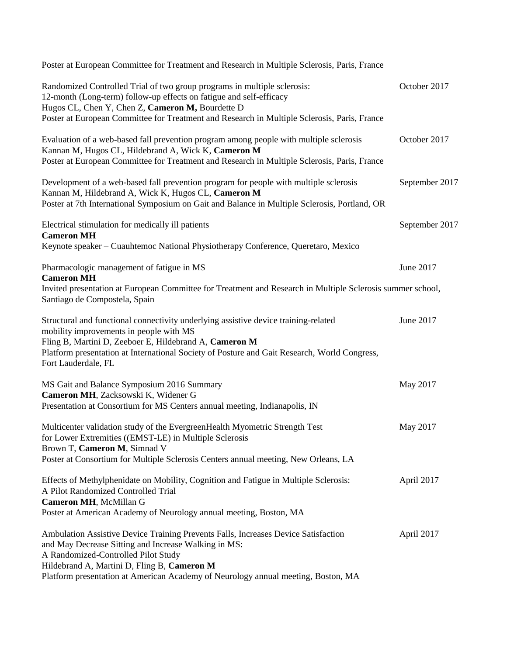| Poster at European Committee for Treatment and Research in Multiple Sclerosis, Paris, France                                                                                                                                                                                                                          |                |
|-----------------------------------------------------------------------------------------------------------------------------------------------------------------------------------------------------------------------------------------------------------------------------------------------------------------------|----------------|
| Randomized Controlled Trial of two group programs in multiple sclerosis:<br>12-month (Long-term) follow-up effects on fatigue and self-efficacy<br>Hugos CL, Chen Y, Chen Z, Cameron M, Bourdette D<br>Poster at European Committee for Treatment and Research in Multiple Sclerosis, Paris, France                   | October 2017   |
| Evaluation of a web-based fall prevention program among people with multiple sclerosis<br>Kannan M, Hugos CL, Hildebrand A, Wick K, Cameron M<br>Poster at European Committee for Treatment and Research in Multiple Sclerosis, Paris, France                                                                         | October 2017   |
| Development of a web-based fall prevention program for people with multiple sclerosis<br>Kannan M, Hildebrand A, Wick K, Hugos CL, Cameron M<br>Poster at 7th International Symposium on Gait and Balance in Multiple Sclerosis, Portland, OR                                                                         | September 2017 |
| Electrical stimulation for medically ill patients<br><b>Cameron MH</b><br>Keynote speaker – Cuauhtemoc National Physiotherapy Conference, Queretaro, Mexico                                                                                                                                                           | September 2017 |
| Pharmacologic management of fatigue in MS<br><b>Cameron MH</b><br>Invited presentation at European Committee for Treatment and Research in Multiple Sclerosis summer school,<br>Santiago de Compostela, Spain                                                                                                         | June 2017      |
| Structural and functional connectivity underlying assistive device training-related<br>mobility improvements in people with MS<br>Fling B, Martini D, Zeeboer E, Hildebrand A, Cameron M<br>Platform presentation at International Society of Posture and Gait Research, World Congress,<br>Fort Lauderdale, FL       | June 2017      |
| MS Gait and Balance Symposium 2016 Summary<br>Cameron MH, Zacksowski K, Widener G<br>Presentation at Consortium for MS Centers annual meeting, Indianapolis, IN                                                                                                                                                       | May 2017       |
| Multicenter validation study of the EvergreenHealth Myometric Strength Test<br>for Lower Extremities ((EMST-LE) in Multiple Sclerosis<br>Brown T, Cameron M, Simnad V<br>Poster at Consortium for Multiple Sclerosis Centers annual meeting, New Orleans, LA                                                          | May 2017       |
| Effects of Methylphenidate on Mobility, Cognition and Fatigue in Multiple Sclerosis:<br>A Pilot Randomized Controlled Trial<br>Cameron MH, McMillan G<br>Poster at American Academy of Neurology annual meeting, Boston, MA                                                                                           | April 2017     |
| Ambulation Assistive Device Training Prevents Falls, Increases Device Satisfaction<br>and May Decrease Sitting and Increase Walking in MS:<br>A Randomized-Controlled Pilot Study<br>Hildebrand A, Martini D, Fling B, Cameron M<br>Platform presentation at American Academy of Neurology annual meeting, Boston, MA | April 2017     |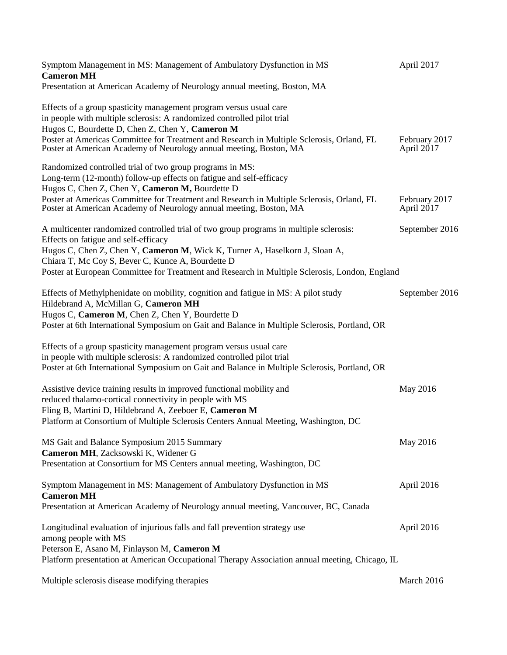| Symptom Management in MS: Management of Ambulatory Dysfunction in MS<br><b>Cameron MH</b>                                                                                                                                                                                                                                                                            | April 2017                  |
|----------------------------------------------------------------------------------------------------------------------------------------------------------------------------------------------------------------------------------------------------------------------------------------------------------------------------------------------------------------------|-----------------------------|
| Presentation at American Academy of Neurology annual meeting, Boston, MA                                                                                                                                                                                                                                                                                             |                             |
| Effects of a group spasticity management program versus usual care<br>in people with multiple sclerosis: A randomized controlled pilot trial<br>Hugos C, Bourdette D, Chen Z, Chen Y, Cameron M<br>Poster at Americas Committee for Treatment and Research in Multiple Sclerosis, Orland, FL<br>Poster at American Academy of Neurology annual meeting, Boston, MA   | February 2017<br>April 2017 |
| Randomized controlled trial of two group programs in MS:<br>Long-term (12-month) follow-up effects on fatigue and self-efficacy<br>Hugos C, Chen Z, Chen Y, Cameron M, Bourdette D<br>Poster at Americas Committee for Treatment and Research in Multiple Sclerosis, Orland, FL                                                                                      | February 2017               |
| Poster at American Academy of Neurology annual meeting, Boston, MA                                                                                                                                                                                                                                                                                                   | April 2017                  |
| A multicenter randomized controlled trial of two group programs in multiple sclerosis:<br>Effects on fatigue and self-efficacy<br>Hugos C, Chen Z, Chen Y, Cameron M, Wick K, Turner A, Haselkorn J, Sloan A,<br>Chiara T, Mc Coy S, Bever C, Kunce A, Bourdette D<br>Poster at European Committee for Treatment and Research in Multiple Sclerosis, London, England | September 2016              |
| Effects of Methylphenidate on mobility, cognition and fatigue in MS: A pilot study<br>Hildebrand A, McMillan G, Cameron MH<br>Hugos C, Cameron M, Chen Z, Chen Y, Bourdette D<br>Poster at 6th International Symposium on Gait and Balance in Multiple Sclerosis, Portland, OR                                                                                       | September 2016              |
| Effects of a group spasticity management program versus usual care<br>in people with multiple sclerosis: A randomized controlled pilot trial<br>Poster at 6th International Symposium on Gait and Balance in Multiple Sclerosis, Portland, OR                                                                                                                        |                             |
| Assistive device training results in improved functional mobility and<br>reduced thalamo-cortical connectivity in people with MS<br>Fling B, Martini D, Hildebrand A, Zeeboer E, Cameron M<br>Platform at Consortium of Multiple Sclerosis Centers Annual Meeting, Washington, DC                                                                                    | May 2016                    |
| MS Gait and Balance Symposium 2015 Summary<br>Cameron MH, Zacksowski K, Widener G<br>Presentation at Consortium for MS Centers annual meeting, Washington, DC                                                                                                                                                                                                        | May 2016                    |
| Symptom Management in MS: Management of Ambulatory Dysfunction in MS<br><b>Cameron MH</b><br>Presentation at American Academy of Neurology annual meeting, Vancouver, BC, Canada                                                                                                                                                                                     | April 2016                  |
| Longitudinal evaluation of injurious falls and fall prevention strategy use<br>among people with MS<br>Peterson E, Asano M, Finlayson M, Cameron M<br>Platform presentation at American Occupational Therapy Association annual meeting, Chicago, IL                                                                                                                 | April 2016                  |
| Multiple sclerosis disease modifying therapies                                                                                                                                                                                                                                                                                                                       | March 2016                  |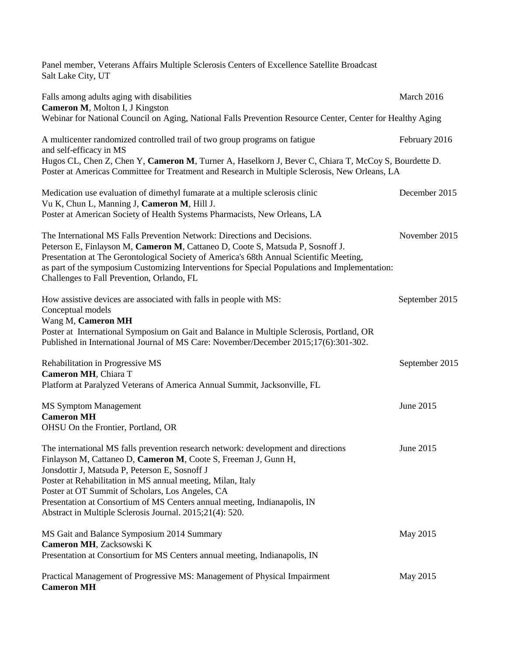Panel member, Veterans Affairs Multiple Sclerosis Centers of Excellence Satellite Broadcast Salt Lake City, UT

| Falls among adults aging with disabilities<br>Cameron M, Molton I, J Kingston                                                                                                                                                                                                                                                                                                                                                                                       | March 2016     |
|---------------------------------------------------------------------------------------------------------------------------------------------------------------------------------------------------------------------------------------------------------------------------------------------------------------------------------------------------------------------------------------------------------------------------------------------------------------------|----------------|
| Webinar for National Council on Aging, National Falls Prevention Resource Center, Center for Healthy Aging                                                                                                                                                                                                                                                                                                                                                          |                |
| A multicenter randomized controlled trail of two group programs on fatigue<br>and self-efficacy in MS                                                                                                                                                                                                                                                                                                                                                               | February 2016  |
| Hugos CL, Chen Z, Chen Y, Cameron M, Turner A, Haselkorn J, Bever C, Chiara T, McCoy S, Bourdette D.<br>Poster at Americas Committee for Treatment and Research in Multiple Sclerosis, New Orleans, LA                                                                                                                                                                                                                                                              |                |
| Medication use evaluation of dimethyl fumarate at a multiple sclerosis clinic<br>Vu K, Chun L, Manning J, Cameron M, Hill J.<br>Poster at American Society of Health Systems Pharmacists, New Orleans, LA                                                                                                                                                                                                                                                           | December 2015  |
| The International MS Falls Prevention Network: Directions and Decisions.<br>Peterson E, Finlayson M, Cameron M, Cattaneo D, Coote S, Matsuda P, Sosnoff J.<br>Presentation at The Gerontological Society of America's 68th Annual Scientific Meeting,<br>as part of the symposium Customizing Interventions for Special Populations and Implementation:<br>Challenges to Fall Prevention, Orlando, FL                                                               | November 2015  |
| How assistive devices are associated with falls in people with MS:<br>Conceptual models<br>Wang M, Cameron MH<br>Poster at International Symposium on Gait and Balance in Multiple Sclerosis, Portland, OR<br>Published in International Journal of MS Care: November/December 2015;17(6):301-302.                                                                                                                                                                  | September 2015 |
| Rehabilitation in Progressive MS<br>Cameron MH, Chiara T<br>Platform at Paralyzed Veterans of America Annual Summit, Jacksonville, FL                                                                                                                                                                                                                                                                                                                               | September 2015 |
| <b>MS Symptom Management</b><br><b>Cameron MH</b><br>OHSU On the Frontier, Portland, OR                                                                                                                                                                                                                                                                                                                                                                             | June 2015      |
| The international MS falls prevention research network: development and directions<br>Finlayson M, Cattaneo D, Cameron M, Coote S, Freeman J, Gunn H,<br>Jonsdottir J, Matsuda P, Peterson E, Sosnoff J<br>Poster at Rehabilitation in MS annual meeting, Milan, Italy<br>Poster at OT Summit of Scholars, Los Angeles, CA<br>Presentation at Consortium of MS Centers annual meeting, Indianapolis, IN<br>Abstract in Multiple Sclerosis Journal. 2015;21(4): 520. | June 2015      |
| MS Gait and Balance Symposium 2014 Summary<br>Cameron MH, Zacksowski K<br>Presentation at Consortium for MS Centers annual meeting, Indianapolis, IN                                                                                                                                                                                                                                                                                                                | May 2015       |
| Practical Management of Progressive MS: Management of Physical Impairment<br><b>Cameron MH</b>                                                                                                                                                                                                                                                                                                                                                                      | May 2015       |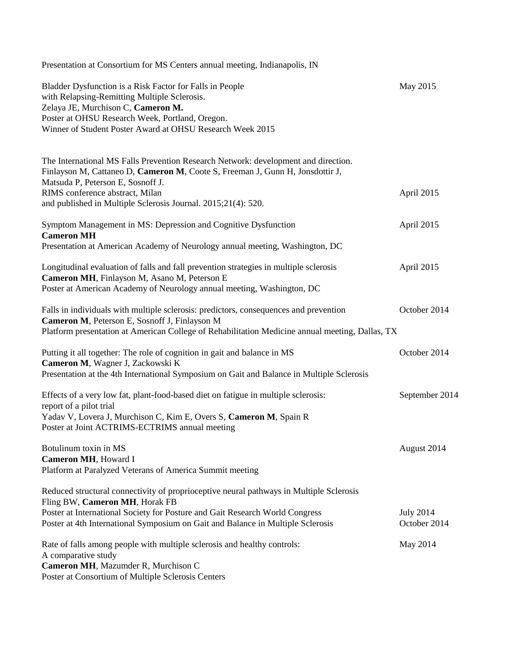| Presentation at Consortium for MS Centers annual meeting, Indianapolis, IN                                                                                                                                                                                     |                                  |
|----------------------------------------------------------------------------------------------------------------------------------------------------------------------------------------------------------------------------------------------------------------|----------------------------------|
| Bladder Dysfunction is a Risk Factor for Falls in People<br>with Relapsing-Remitting Multiple Sclerosis.<br>Zelaya JE, Murchison C, Cameron M.<br>Poster at OHSU Research Week, Portland, Oregon.<br>Winner of Student Poster Award at OHSU Research Week 2015 | May 2015                         |
| The International MS Falls Prevention Research Network: development and direction.<br>Finlayson M, Cattaneo D, Cameron M, Coote S, Freeman J, Gunn H, Jonsdottir J,<br>Matsuda P, Peterson E, Sosnoff J.                                                       |                                  |
| RIMS conference abstract, Milan<br>and published in Multiple Sclerosis Journal. 2015;21(4): 520.                                                                                                                                                               | April 2015                       |
| Symptom Management in MS: Depression and Cognitive Dysfunction<br><b>Cameron MH</b><br>Presentation at American Academy of Neurology annual meeting, Washington, DC                                                                                            | April 2015                       |
| Longitudinal evaluation of falls and fall prevention strategies in multiple sclerosis<br>Cameron MH, Finlayson M, Asano M, Peterson E<br>Poster at American Academy of Neurology annual meeting, Washington, DC                                                | April 2015                       |
| Falls in individuals with multiple sclerosis: predictors, consequences and prevention<br>Cameron M, Peterson E, Sosnoff J, Finlayson M<br>Platform presentation at American College of Rehabilitation Medicine annual meeting, Dallas, TX                      | October 2014                     |
| Putting it all together: The role of cognition in gait and balance in MS<br>Cameron M, Wagner J, Zackowski K<br>Presentation at the 4th International Symposium on Gait and Balance in Multiple Sclerosis                                                      | October 2014                     |
| Effects of a very low fat, plant-food-based diet on fatigue in multiple sclerosis:<br>report of a pilot trial<br>Yadav V, Lovera J, Murchison C, Kim E, Overs S, Cameron M, Spain R<br>Poster at Joint ACTRIMS-ECTRIMS annual meeting                          | September 2014                   |
| Botulinum toxin in MS<br>Cameron MH, Howard I<br>Platform at Paralyzed Veterans of America Summit meeting                                                                                                                                                      | August 2014                      |
| Reduced structural connectivity of proprioceptive neural pathways in Multiple Sclerosis<br>Fling BW, Cameron MH, Horak FB                                                                                                                                      |                                  |
| Poster at International Society for Posture and Gait Research World Congress<br>Poster at 4th International Symposium on Gait and Balance in Multiple Sclerosis                                                                                                | <b>July 2014</b><br>October 2014 |
| Rate of falls among people with multiple sclerosis and healthy controls:<br>A comparative study<br>Cameron MH, Mazumder R, Murchison C<br>Poster at Consortium of Multiple Sclerosis Centers                                                                   | May 2014                         |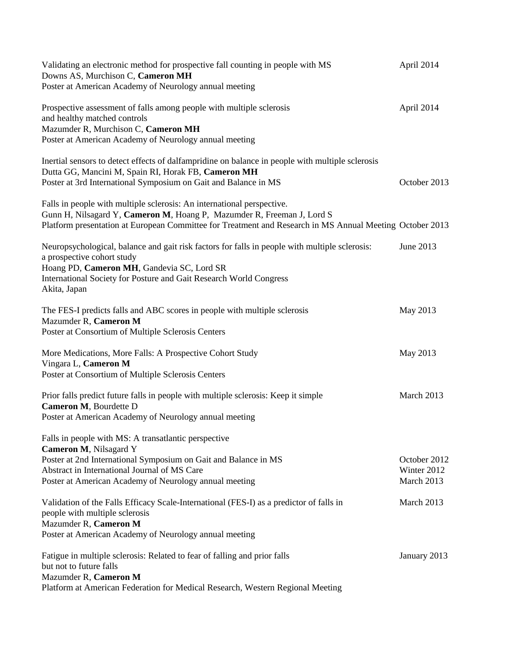| Validating an electronic method for prospective fall counting in people with MS<br>Downs AS, Murchison C, Cameron MH<br>Poster at American Academy of Neurology annual meeting                                                                                   | April 2014                                |
|------------------------------------------------------------------------------------------------------------------------------------------------------------------------------------------------------------------------------------------------------------------|-------------------------------------------|
| Prospective assessment of falls among people with multiple sclerosis<br>and healthy matched controls<br>Mazumder R, Murchison C, Cameron MH<br>Poster at American Academy of Neurology annual meeting                                                            | April 2014                                |
| Inertial sensors to detect effects of dalfampridine on balance in people with multiple sclerosis<br>Dutta GG, Mancini M, Spain RI, Horak FB, Cameron MH<br>Poster at 3rd International Symposium on Gait and Balance in MS                                       | October 2013                              |
| Falls in people with multiple sclerosis: An international perspective.<br>Gunn H, Nilsagard Y, Cameron M, Hoang P, Mazumder R, Freeman J, Lord S<br>Platform presentation at European Committee for Treatment and Research in MS Annual Meeting October 2013     |                                           |
| Neuropsychological, balance and gait risk factors for falls in people with multiple sclerosis:<br>a prospective cohort study<br>Hoang PD, Cameron MH, Gandevia SC, Lord SR<br>International Society for Posture and Gait Research World Congress<br>Akita, Japan | June 2013                                 |
| The FES-I predicts falls and ABC scores in people with multiple sclerosis<br>Mazumder R, Cameron M<br>Poster at Consortium of Multiple Sclerosis Centers                                                                                                         | May 2013                                  |
| More Medications, More Falls: A Prospective Cohort Study<br>Vingara L, Cameron M<br>Poster at Consortium of Multiple Sclerosis Centers                                                                                                                           | May 2013                                  |
| Prior falls predict future falls in people with multiple sclerosis: Keep it simple<br>Cameron M, Bourdette D<br>Poster at American Academy of Neurology annual meeting                                                                                           | March 2013                                |
| Falls in people with MS: A transatlantic perspective<br>Cameron M, Nilsagard Y<br>Poster at 2nd International Symposium on Gait and Balance in MS<br>Abstract in International Journal of MS Care<br>Poster at American Academy of Neurology annual meeting      | October 2012<br>Winter 2012<br>March 2013 |
| Validation of the Falls Efficacy Scale-International (FES-I) as a predictor of falls in<br>people with multiple sclerosis<br>Mazumder R, Cameron M<br>Poster at American Academy of Neurology annual meeting                                                     | March 2013                                |
| Fatigue in multiple sclerosis: Related to fear of falling and prior falls<br>but not to future falls<br>Mazumder R, Cameron M<br>Platform at American Federation for Medical Research, Western Regional Meeting                                                  | January 2013                              |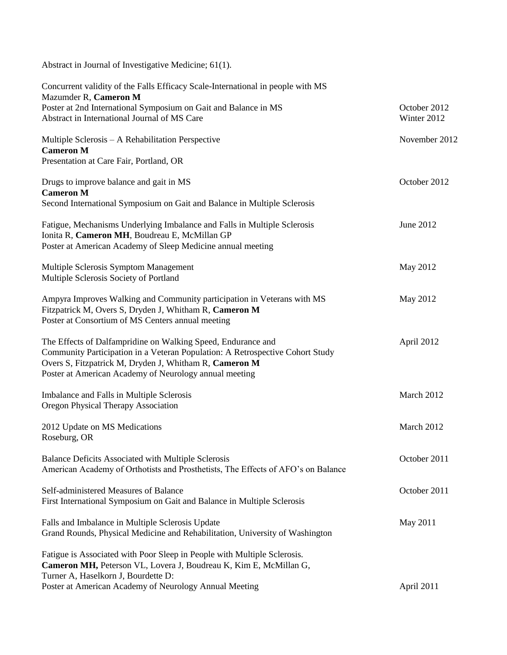Abstract in Journal of Investigative Medicine; 61(1).

| Concurrent validity of the Falls Efficacy Scale-International in people with MS<br>Mazumder R, Cameron M                                                                                                                                                          |                             |
|-------------------------------------------------------------------------------------------------------------------------------------------------------------------------------------------------------------------------------------------------------------------|-----------------------------|
| Poster at 2nd International Symposium on Gait and Balance in MS<br>Abstract in International Journal of MS Care                                                                                                                                                   | October 2012<br>Winter 2012 |
| Multiple Sclerosis – A Rehabilitation Perspective<br><b>Cameron M</b>                                                                                                                                                                                             | November 2012               |
| Presentation at Care Fair, Portland, OR                                                                                                                                                                                                                           |                             |
| Drugs to improve balance and gait in MS<br><b>Cameron M</b>                                                                                                                                                                                                       | October 2012                |
| Second International Symposium on Gait and Balance in Multiple Sclerosis                                                                                                                                                                                          |                             |
| Fatigue, Mechanisms Underlying Imbalance and Falls in Multiple Sclerosis<br>Ionita R, Cameron MH, Boudreau E, McMillan GP<br>Poster at American Academy of Sleep Medicine annual meeting                                                                          | June 2012                   |
| Multiple Sclerosis Symptom Management<br>Multiple Sclerosis Society of Portland                                                                                                                                                                                   | May 2012                    |
| Ampyra Improves Walking and Community participation in Veterans with MS<br>Fitzpatrick M, Overs S, Dryden J, Whitham R, Cameron M<br>Poster at Consortium of MS Centers annual meeting                                                                            | May 2012                    |
| The Effects of Dalfampridine on Walking Speed, Endurance and<br>Community Participation in a Veteran Population: A Retrospective Cohort Study<br>Overs S, Fitzpatrick M, Dryden J, Whitham R, Cameron M<br>Poster at American Academy of Neurology annual meeting | April 2012                  |
| Imbalance and Falls in Multiple Sclerosis<br><b>Oregon Physical Therapy Association</b>                                                                                                                                                                           | March 2012                  |
| 2012 Update on MS Medications<br>Roseburg, OR                                                                                                                                                                                                                     | March 2012                  |
| Balance Deficits Associated with Multiple Sclerosis<br>American Academy of Orthotists and Prosthetists, The Effects of AFO's on Balance                                                                                                                           | October 2011                |
| Self-administered Measures of Balance<br>First International Symposium on Gait and Balance in Multiple Sclerosis                                                                                                                                                  | October 2011                |
| Falls and Imbalance in Multiple Sclerosis Update<br>Grand Rounds, Physical Medicine and Rehabilitation, University of Washington                                                                                                                                  | May 2011                    |
| Fatigue is Associated with Poor Sleep in People with Multiple Sclerosis.<br>Cameron MH, Peterson VL, Lovera J, Boudreau K, Kim E, McMillan G,                                                                                                                     |                             |
| Turner A, Haselkorn J, Bourdette D:<br>Poster at American Academy of Neurology Annual Meeting                                                                                                                                                                     | April 2011                  |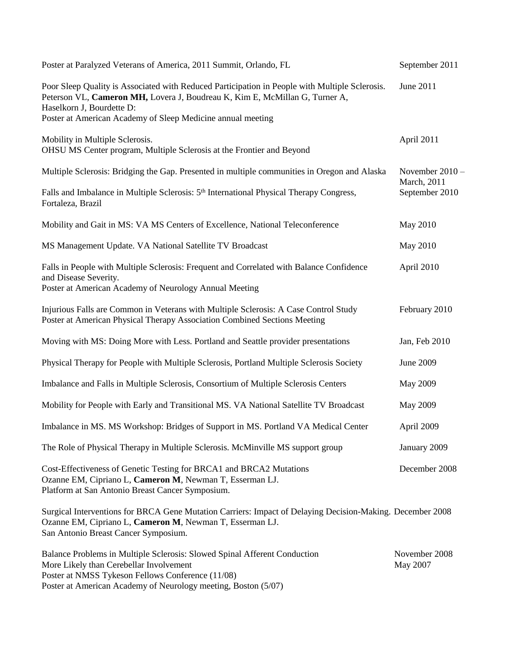| Poster at Paralyzed Veterans of America, 2011 Summit, Orlando, FL                                                                                                                                                                                                         | September 2011                                   |
|---------------------------------------------------------------------------------------------------------------------------------------------------------------------------------------------------------------------------------------------------------------------------|--------------------------------------------------|
| Poor Sleep Quality is Associated with Reduced Participation in People with Multiple Sclerosis.<br>Peterson VL, Cameron MH, Lovera J, Boudreau K, Kim E, McMillan G, Turner A,<br>Haselkorn J, Bourdette D:<br>Poster at American Academy of Sleep Medicine annual meeting | June 2011                                        |
| Mobility in Multiple Sclerosis.<br>OHSU MS Center program, Multiple Sclerosis at the Frontier and Beyond                                                                                                                                                                  | April 2011                                       |
| Multiple Sclerosis: Bridging the Gap. Presented in multiple communities in Oregon and Alaska                                                                                                                                                                              | November 2010 -<br>March, 2011<br>September 2010 |
| Falls and Imbalance in Multiple Sclerosis: 5 <sup>th</sup> International Physical Therapy Congress,<br>Fortaleza, Brazil                                                                                                                                                  |                                                  |
| Mobility and Gait in MS: VA MS Centers of Excellence, National Teleconference                                                                                                                                                                                             | May 2010                                         |
| MS Management Update. VA National Satellite TV Broadcast                                                                                                                                                                                                                  | May 2010                                         |
| Falls in People with Multiple Sclerosis: Frequent and Correlated with Balance Confidence<br>and Disease Severity.<br>Poster at American Academy of Neurology Annual Meeting                                                                                               | April 2010                                       |
| Injurious Falls are Common in Veterans with Multiple Sclerosis: A Case Control Study<br>Poster at American Physical Therapy Association Combined Sections Meeting                                                                                                         | February 2010                                    |
| Moving with MS: Doing More with Less. Portland and Seattle provider presentations                                                                                                                                                                                         | Jan, Feb 2010                                    |
| Physical Therapy for People with Multiple Sclerosis, Portland Multiple Sclerosis Society                                                                                                                                                                                  | June 2009                                        |
| Imbalance and Falls in Multiple Sclerosis, Consortium of Multiple Sclerosis Centers                                                                                                                                                                                       | May 2009                                         |
| Mobility for People with Early and Transitional MS. VA National Satellite TV Broadcast                                                                                                                                                                                    | <b>May 2009</b>                                  |
| Imbalance in MS. MS Workshop: Bridges of Support in MS. Portland VA Medical Center                                                                                                                                                                                        | April 2009                                       |
| The Role of Physical Therapy in Multiple Sclerosis. McMinville MS support group                                                                                                                                                                                           | January 2009                                     |
| Cost-Effectiveness of Genetic Testing for BRCA1 and BRCA2 Mutations<br>Ozanne EM, Cipriano L, Cameron M, Newman T, Esserman LJ.<br>Platform at San Antonio Breast Cancer Symposium.                                                                                       | December 2008                                    |
| Surgical Interventions for BRCA Gene Mutation Carriers: Impact of Delaying Decision-Making. December 2008<br>Ozanne EM, Cipriano L, Cameron M, Newman T, Esserman LJ.<br>San Antonio Breast Cancer Symposium.                                                             |                                                  |
| Balance Problems in Multiple Sclerosis: Slowed Spinal Afferent Conduction<br>More Likely than Cerebellar Involvement<br>Poster at NMSS Tykeson Fellows Conference (11/08)<br>Poster at American Academy of Neurology meeting, Boston (5/07)                               | November 2008<br>May 2007                        |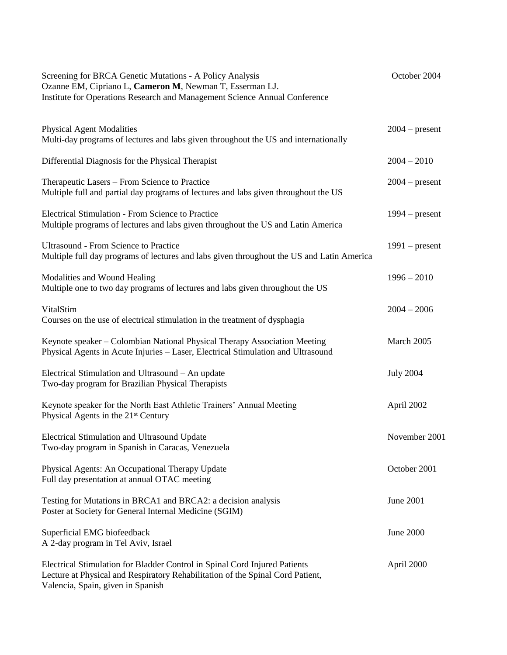| Screening for BRCA Genetic Mutations - A Policy Analysis<br>Ozanne EM, Cipriano L, Cameron M, Newman T, Esserman LJ.<br>Institute for Operations Research and Management Science Annual Conference | October 2004     |
|----------------------------------------------------------------------------------------------------------------------------------------------------------------------------------------------------|------------------|
| <b>Physical Agent Modalities</b><br>Multi-day programs of lectures and labs given throughout the US and internationally                                                                            | $2004$ – present |
| Differential Diagnosis for the Physical Therapist                                                                                                                                                  | $2004 - 2010$    |
| Therapeutic Lasers - From Science to Practice<br>Multiple full and partial day programs of lectures and labs given throughout the US                                                               | $2004$ – present |
| <b>Electrical Stimulation - From Science to Practice</b><br>Multiple programs of lectures and labs given throughout the US and Latin America                                                       | $1994$ – present |
| <b>Ultrasound - From Science to Practice</b><br>Multiple full day programs of lectures and labs given throughout the US and Latin America                                                          | $1991$ – present |
| Modalities and Wound Healing<br>Multiple one to two day programs of lectures and labs given throughout the US                                                                                      | $1996 - 2010$    |
| VitalStim<br>Courses on the use of electrical stimulation in the treatment of dysphagia                                                                                                            | $2004 - 2006$    |
| Keynote speaker – Colombian National Physical Therapy Association Meeting<br>Physical Agents in Acute Injuries - Laser, Electrical Stimulation and Ultrasound                                      | March 2005       |
| Electrical Stimulation and Ultrasound - An update<br>Two-day program for Brazilian Physical Therapists                                                                                             | <b>July 2004</b> |
| Keynote speaker for the North East Athletic Trainers' Annual Meeting<br>Physical Agents in the 21 <sup>st</sup> Century                                                                            | April 2002       |
| <b>Electrical Stimulation and Ultrasound Update</b><br>Two-day program in Spanish in Caracas, Venezuela                                                                                            | November 2001    |
| Physical Agents: An Occupational Therapy Update<br>Full day presentation at annual OTAC meeting                                                                                                    | October 2001     |
| Testing for Mutations in BRCA1 and BRCA2: a decision analysis<br>Poster at Society for General Internal Medicine (SGIM)                                                                            | June 2001        |
| Superficial EMG biofeedback<br>A 2-day program in Tel Aviv, Israel                                                                                                                                 | June 2000        |
| Electrical Stimulation for Bladder Control in Spinal Cord Injured Patients<br>Lecture at Physical and Respiratory Rehabilitation of the Spinal Cord Patient,<br>Valencia, Spain, given in Spanish  | April 2000       |